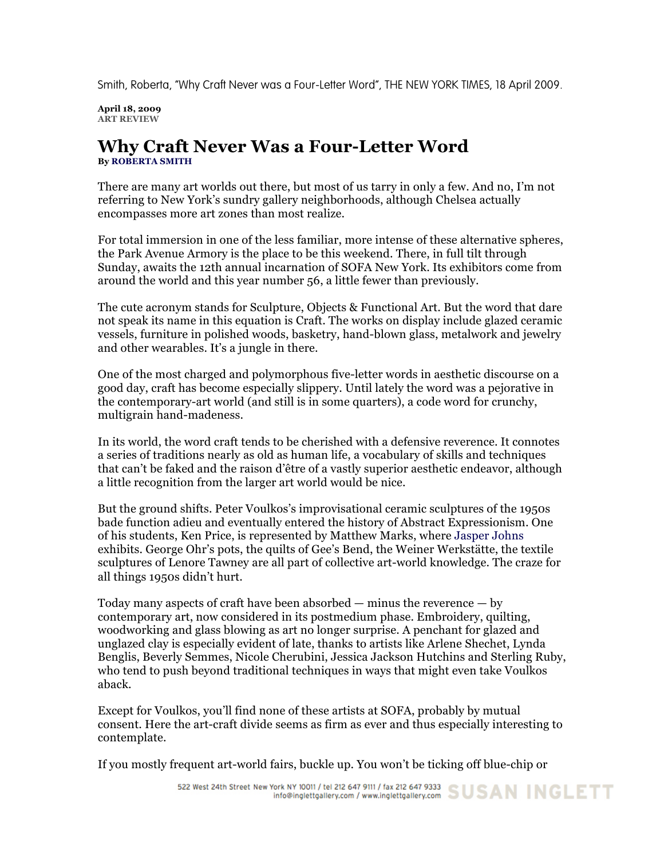Smith, Roberta, "Why Craft Never was a Four-Letter Word", THE NEW YORK TIMES, 18 April 2009.

**April 18, 2009 ART REVIEW**

## **Why Craft Never Was a Four-Letter Word By ROBERTA SMITH**

There are many art worlds out there, but most of us tarry in only a few. And no, I'm not referring to New York's sundry gallery neighborhoods, although Chelsea actually encompasses more art zones than most realize.

For total immersion in one of the less familiar, more intense of these alternative spheres, the Park Avenue Armory is the place to be this weekend. There, in full tilt through Sunday, awaits the 12th annual incarnation of SOFA New York. Its exhibitors come from around the world and this year number 56, a little fewer than previously.

The cute acronym stands for Sculpture, Objects & Functional Art. But the word that dare not speak its name in this equation is Craft. The works on display include glazed ceramic vessels, furniture in polished woods, basketry, hand-blown glass, metalwork and jewelry and other wearables. It's a jungle in there.

One of the most charged and polymorphous five-letter words in aesthetic discourse on a good day, craft has become especially slippery. Until lately the word was a pejorative in the contemporary-art world (and still is in some quarters), a code word for crunchy, multigrain hand-madeness.

In its world, the word craft tends to be cherished with a defensive reverence. It connotes a series of traditions nearly as old as human life, a vocabulary of skills and techniques that can't be faked and the raison d'être of a vastly superior aesthetic endeavor, although a little recognition from the larger art world would be nice.

But the ground shifts. Peter Voulkos's improvisational ceramic sculptures of the 1950s bade function adieu and eventually entered the history of Abstract Expressionism. One of his students, Ken Price, is represented by Matthew Marks, where Jasper Johns exhibits. George Ohr's pots, the quilts of Gee's Bend, the Weiner Werkstätte, the textile sculptures of Lenore Tawney are all part of collective art-world knowledge. The craze for all things 1950s didn't hurt.

Today many aspects of craft have been absorbed  $-$  minus the reverence  $-$  by contemporary art, now considered in its postmedium phase. Embroidery, quilting, woodworking and glass blowing as art no longer surprise. A penchant for glazed and unglazed clay is especially evident of late, thanks to artists like Arlene Shechet, Lynda Benglis, Beverly Semmes, Nicole Cherubini, Jessica Jackson Hutchins and Sterling Ruby, who tend to push beyond traditional techniques in ways that might even take Voulkos aback.

Except for Voulkos, you'll find none of these artists at SOFA, probably by mutual consent. Here the art-craft divide seems as firm as ever and thus especially interesting to contemplate.

If you mostly frequent art-world fairs, buckle up. You won't be ticking off blue-chip or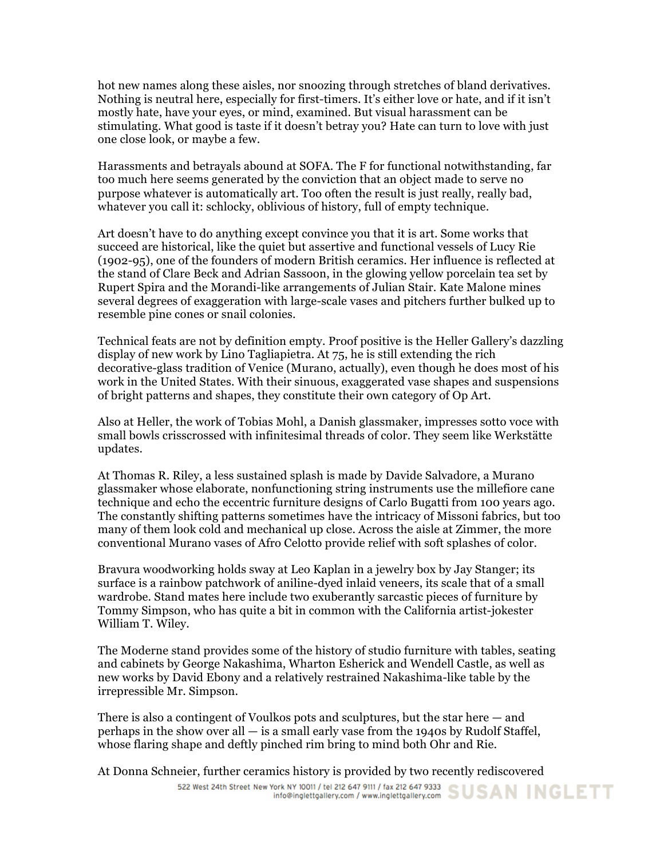hot new names along these aisles, nor snoozing through stretches of bland derivatives. Nothing is neutral here, especially for first-timers. It's either love or hate, and if it isn't mostly hate, have your eyes, or mind, examined. But visual harassment can be stimulating. What good is taste if it doesn't betray you? Hate can turn to love with just one close look, or maybe a few.

Harassments and betrayals abound at SOFA. The F for functional notwithstanding, far too much here seems generated by the conviction that an object made to serve no purpose whatever is automatically art. Too often the result is just really, really bad, whatever you call it: schlocky, oblivious of history, full of empty technique.

Art doesn't have to do anything except convince you that it is art. Some works that succeed are historical, like the quiet but assertive and functional vessels of Lucy Rie (1902-95), one of the founders of modern British ceramics. Her influence is reflected at the stand of Clare Beck and Adrian Sassoon, in the glowing yellow porcelain tea set by Rupert Spira and the Morandi-like arrangements of Julian Stair. Kate Malone mines several degrees of exaggeration with large-scale vases and pitchers further bulked up to resemble pine cones or snail colonies.

Technical feats are not by definition empty. Proof positive is the Heller Gallery's dazzling display of new work by Lino Tagliapietra. At 75, he is still extending the rich decorative-glass tradition of Venice (Murano, actually), even though he does most of his work in the United States. With their sinuous, exaggerated vase shapes and suspensions of bright patterns and shapes, they constitute their own category of Op Art.

Also at Heller, the work of Tobias Mohl, a Danish glassmaker, impresses sotto voce with small bowls crisscrossed with infinitesimal threads of color. They seem like Werkstätte updates.

At Thomas R. Riley, a less sustained splash is made by Davide Salvadore, a Murano glassmaker whose elaborate, nonfunctioning string instruments use the millefiore cane technique and echo the eccentric furniture designs of Carlo Bugatti from 100 years ago. The constantly shifting patterns sometimes have the intricacy of Missoni fabrics, but too many of them look cold and mechanical up close. Across the aisle at Zimmer, the more conventional Murano vases of Afro Celotto provide relief with soft splashes of color.

Bravura woodworking holds sway at Leo Kaplan in a jewelry box by Jay Stanger; its surface is a rainbow patchwork of aniline-dyed inlaid veneers, its scale that of a small wardrobe. Stand mates here include two exuberantly sarcastic pieces of furniture by Tommy Simpson, who has quite a bit in common with the California artist-jokester William T. Wiley.

The Moderne stand provides some of the history of studio furniture with tables, seating and cabinets by George Nakashima, Wharton Esherick and Wendell Castle, as well as new works by David Ebony and a relatively restrained Nakashima-like table by the irrepressible Mr. Simpson.

There is also a contingent of Voulkos pots and sculptures, but the star here — and perhaps in the show over all — is a small early vase from the 1940s by Rudolf Staffel, whose flaring shape and deftly pinched rim bring to mind both Ohr and Rie.

At Donna Schneier, further ceramics history is provided by two recently rediscovered